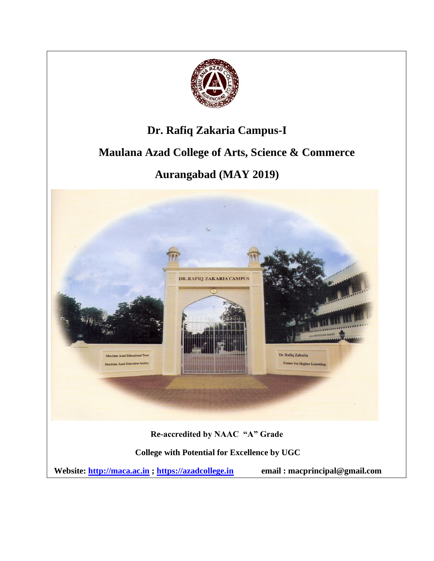

### **Dr. Rafiq Zakaria Campus-I**

## **Maulana Azad College of Arts, Science & Commerce**

# **Aurangabad (MAY 2019)**

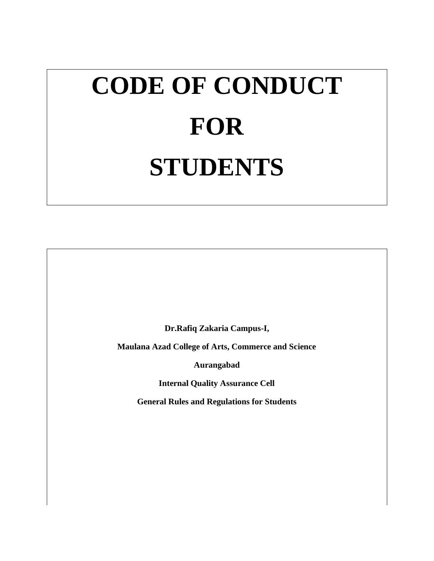# **CODE OF CONDUCT FOR STUDENTS**

**Dr.Rafiq Zakaria Campus-I,**

**Maulana Azad College of Arts, Commerce and Science**

**Aurangabad**

**Internal Quality Assurance Cell**

**General Rules and Regulations for Students**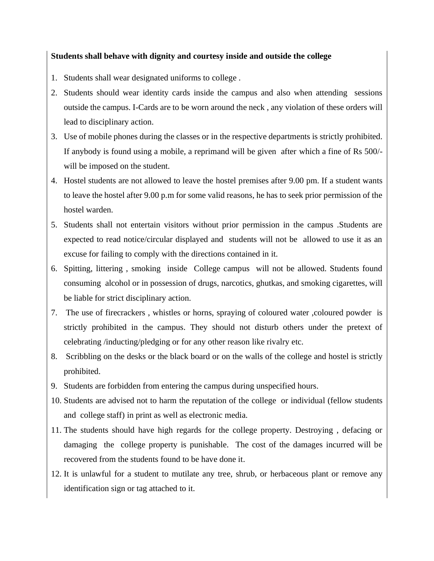#### **Students shall behave with dignity and courtesy inside and outside the college**

- 1. Students shall wear designated uniforms to college .
- 2. Students should wear identity cards inside the campus and also when attending sessions outside the campus. I-Cards are to be worn around the neck , any violation of these orders will lead to disciplinary action.
- 3. Use of mobile phones during the classes or in the respective departments is strictly prohibited. If anybody is found using a mobile, a reprimand will be given after which a fine of Rs 500/ will be imposed on the student.
- 4. Hostel students are not allowed to leave the hostel premises after 9.00 pm. If a student wants to leave the hostel after 9.00 p.m for some valid reasons, he has to seek prior permission of the hostel warden.
- 5. Students shall not entertain visitors without prior permission in the campus .Students are expected to read notice/circular displayed and students will not be allowed to use it as an excuse for failing to comply with the directions contained in it.
- 6. Spitting, littering , smoking inside College campus will not be allowed. Students found consuming alcohol or in possession of drugs, narcotics, ghutkas, and smoking cigarettes, will be liable for strict disciplinary action.
- 7. The use of firecrackers , whistles or horns, spraying of coloured water ,coloured powder is strictly prohibited in the campus. They should not disturb others under the pretext of celebrating /inducting/pledging or for any other reason like rivalry etc.
- 8. Scribbling on the desks or the black board or on the walls of the college and hostel is strictly prohibited.
- 9. Students are forbidden from entering the campus during unspecified hours.
- 10. Students are advised not to harm the reputation of the college or individual (fellow students and college staff) in print as well as electronic media.
- 11. The students should have high regards for the college property. Destroying , defacing or damaging the college property is punishable. The cost of the damages incurred will be recovered from the students found to be have done it.
- 12. It is unlawful for a student to mutilate any tree, shrub, or herbaceous plant or remove any identification sign or tag attached to it.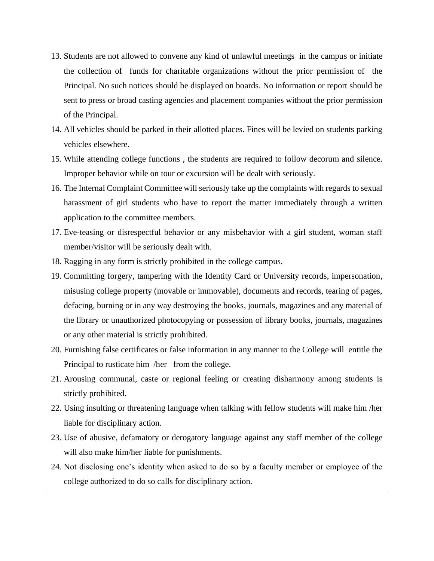- 13. Students are not allowed to convene any kind of unlawful meetings in the campus or initiate the collection of funds for charitable organizations without the prior permission of the Principal. No such notices should be displayed on boards. No information or report should be sent to press or broad casting agencies and placement companies without the prior permission of the Principal.
- 14. All vehicles should be parked in their allotted places. Fines will be levied on students parking vehicles elsewhere.
- 15. While attending college functions , the students are required to follow decorum and silence. Improper behavior while on tour or excursion will be dealt with seriously.
- 16. The Internal Complaint Committee will seriously take up the complaints with regards to sexual harassment of girl students who have to report the matter immediately through a written application to the committee members.
- 17. Eve-teasing or disrespectful behavior or any misbehavior with a girl student, woman staff member/visitor will be seriously dealt with.
- 18. Ragging in any form is strictly prohibited in the college campus.
- 19. Committing forgery, tampering with the Identity Card or University records, impersonation, misusing college property (movable or immovable), documents and records, tearing of pages, defacing, burning or in any way destroying the books, journals, magazines and any material of the library or unauthorized photocopying or possession of library books, journals, magazines or any other material is strictly prohibited.
- 20. Furnishing false certificates or false information in any manner to the College will entitle the Principal to rusticate him /her from the college.
- 21. Arousing communal, caste or regional feeling or creating disharmony among students is strictly prohibited.
- 22. Using insulting or threatening language when talking with fellow students will make him /her liable for disciplinary action.
- 23. Use of abusive, defamatory or derogatory language against any staff member of the college will also make him/her liable for punishments.
- 24. Not disclosing one's identity when asked to do so by a faculty member or employee of the college authorized to do so calls for disciplinary action.